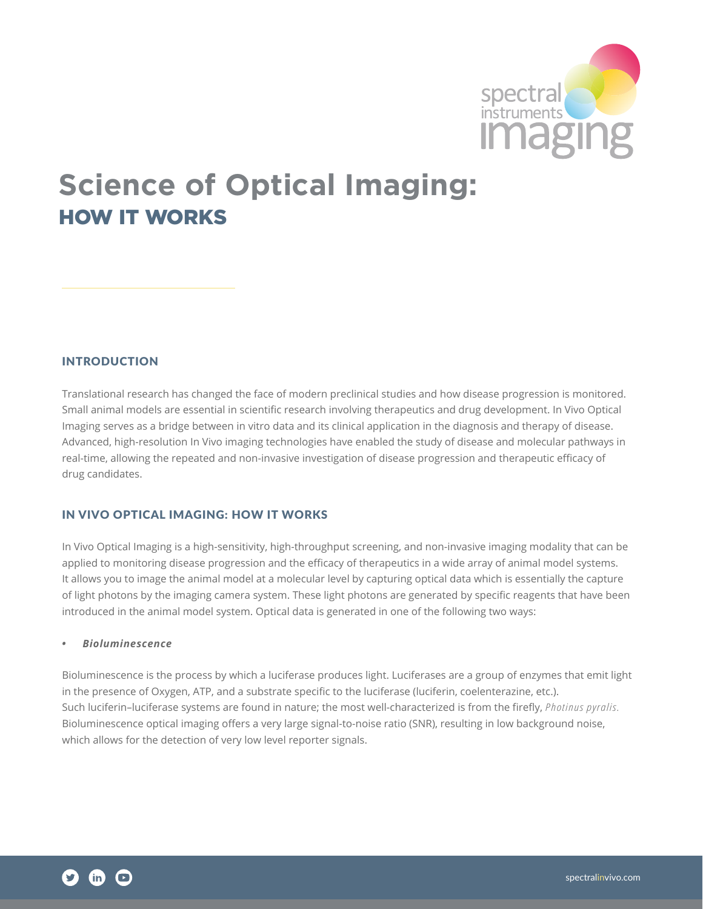

# **Science of Optical Imaging:** HOW IT WORKS

# INTRODUCTION

Translational research has changed the face of modern preclinical studies and how disease progression is monitored. Small animal models are essential in scientific research involving therapeutics and drug development. In Vivo Optical Imaging serves as a bridge between in vitro data and its clinical application in the diagnosis and therapy of disease. Advanced, high-resolution In Vivo imaging technologies have enabled the study of disease and molecular pathways in real-time, allowing the repeated and non-invasive investigation of disease progression and therapeutic efficacy of drug candidates.

#### IN VIVO OPTICAL IMAGING: HOW IT WORKS

In Vivo Optical Imaging is a high-sensitivity, high-throughput screening, and non-invasive imaging modality that can be applied to monitoring disease progression and the efficacy of therapeutics in a wide array of animal model systems. It allows you to image the animal model at a molecular level by capturing optical data which is essentially the capture of light photons by the imaging camera system. These light photons are generated by specific reagents that have been introduced in the animal model system. Optical data is generated in one of the following two ways:

## *• Bioluminescence*

Bioluminescence is the process by which a luciferase produces light. Luciferases are a group of enzymes that emit light in the presence of Oxygen, ATP, and a substrate specific to the luciferase (luciferin, coelenterazine, etc.). Such luciferin–luciferase systems are found in nature; the most well-characterized is from the firefly, *Photinus pyralis.* Bioluminescence optical imaging offers a very large signal-to-noise ratio (SNR), resulting in low background noise, which allows for the detection of very low level reporter signals.

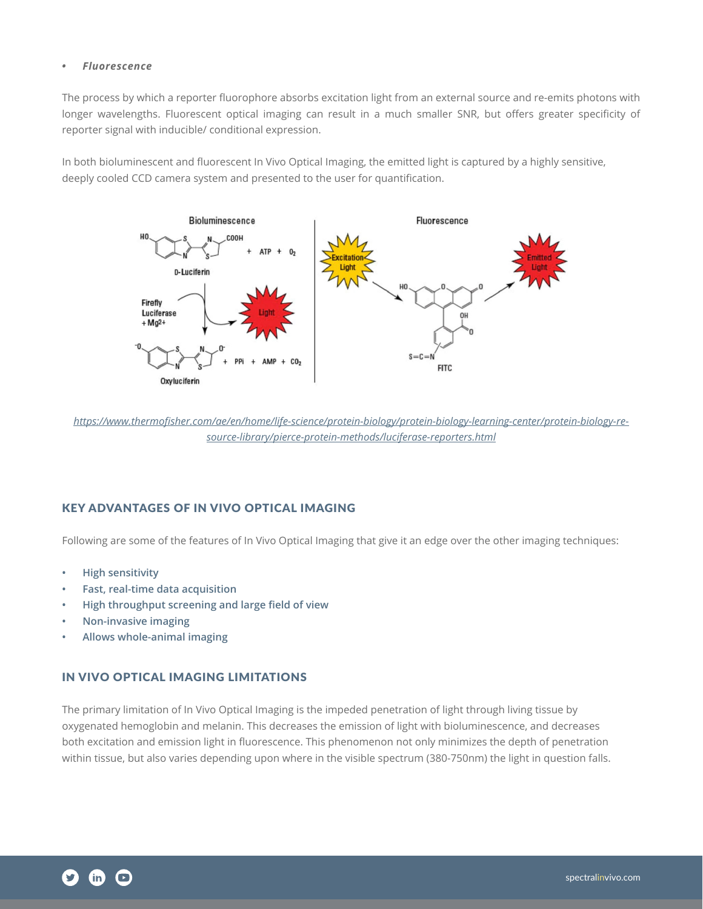#### *• Fluorescence*

The process by which a reporter fluorophore absorbs excitation light from an external source and re-emits photons with longer wavelengths. Fluorescent optical imaging can result in a much smaller SNR, but offers greater specificity of reporter signal with inducible/ conditional expression.

In both bioluminescent and fluorescent In Vivo Optical Imaging, the emitted light is captured by a highly sensitive, deeply cooled CCD camera system and presented to the user for quantification.



*[https://www.thermofisher.com/ae/en/home/life-science/protein-biology/protein-biology-learning-center/protein-biology-re](https://www.thermofisher.com/ae/en/home/life-science/protein-biology/protein-biology-learning-center/protein-biology-resource-library/pierce-protein-methods/luciferase-reporters.html)[source-library/pierce-protein-methods/luciferase-reporters.html](https://www.thermofisher.com/ae/en/home/life-science/protein-biology/protein-biology-learning-center/protein-biology-resource-library/pierce-protein-methods/luciferase-reporters.html)*

# KEY ADVANTAGES OF IN VIVO OPTICAL IMAGING

Following are some of the features of In Vivo Optical Imaging that give it an edge over the other imaging techniques:

- **• High sensitivity**
- **• Fast, real-time data acquisition**
- **• High throughput screening and large field of view**
- **• Non-invasive imaging**
- **• Allows whole-animal imaging**

# IN VIVO OPTICAL IMAGING LIMITATIONS

The primary limitation of In Vivo Optical Imaging is the impeded penetration of light through living tissue by oxygenated hemoglobin and melanin. This decreases the emission of light with bioluminescence, and decreases both excitation and emission light in fluorescence. This phenomenon not only minimizes the depth of penetration within tissue, but also varies depending upon where in the visible spectrum (380-750nm) the light in question falls.